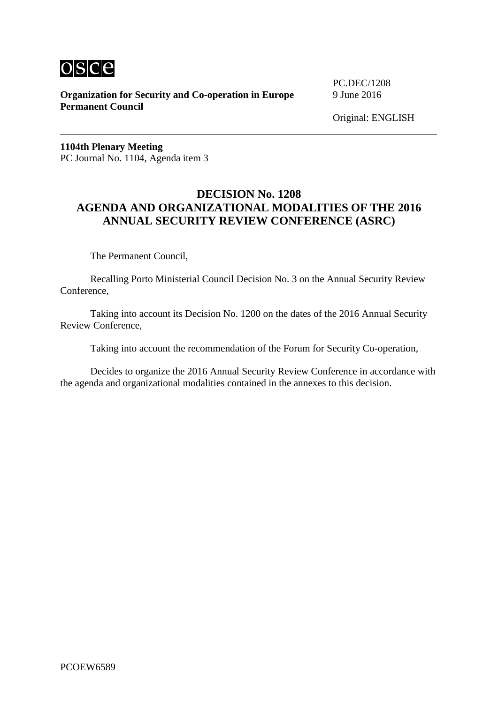

**Organization for Security and Co-operation in Europe** 9 June 2016 **Permanent Council**

PC.DEC/1208

Original: ENGLISH

**1104th Plenary Meeting** PC Journal No. 1104, Agenda item 3

### **DECISION No. 1208 AGENDA AND ORGANIZATIONAL MODALITIES OF THE 2016 ANNUAL SECURITY REVIEW CONFERENCE (ASRC)**

The Permanent Council,

Recalling Porto Ministerial Council Decision No. 3 on the Annual Security Review Conference,

Taking into account its Decision No. 1200 on the dates of the 2016 Annual Security Review Conference,

Taking into account the recommendation of the Forum for Security Co-operation,

Decides to organize the 2016 Annual Security Review Conference in accordance with the agenda and organizational modalities contained in the annexes to this decision.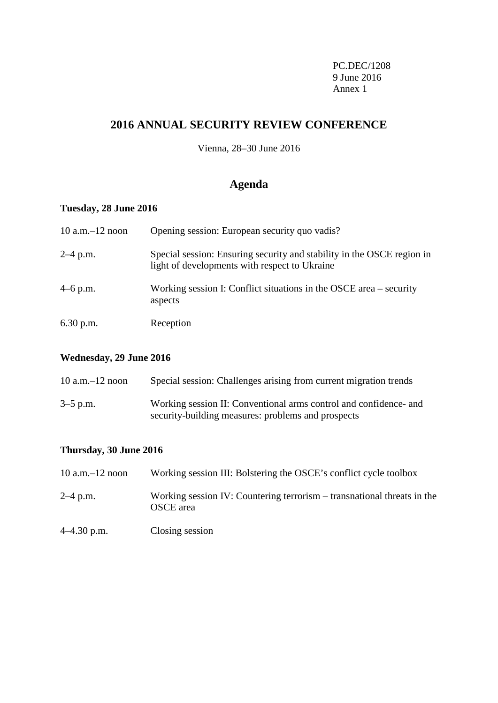PC.DEC/1208 9 June 2016 Annex 1

# **2016 ANNUAL SECURITY REVIEW CONFERENCE**

Vienna, 28–30 June 2016

# **Agenda**

### **Tuesday, 28 June 2016**

| $10$ a.m. $-12$ noon | Opening session: European security quo vadis?                                                                           |
|----------------------|-------------------------------------------------------------------------------------------------------------------------|
| $2-4$ p.m.           | Special session: Ensuring security and stability in the OSCE region in<br>light of developments with respect to Ukraine |
| $4-6$ p.m.           | Working session I: Conflict situations in the OSCE area – security<br>aspects                                           |
| $6.30$ p.m.          | Reception                                                                                                               |

### **Wednesday, 29 June 2016**

| $10$ a.m. $-12$ noon | Special session: Challenges arising from current migration trends                                                       |
|----------------------|-------------------------------------------------------------------------------------------------------------------------|
| $3-5$ p.m.           | Working session II: Conventional arms control and confidence- and<br>security-building measures: problems and prospects |

### **Thursday, 30 June 2016**

| $10$ a.m. $-12$ noon | Working session III: Bolstering the OSCE's conflict cycle toolbox                    |
|----------------------|--------------------------------------------------------------------------------------|
| $2-4$ p.m.           | Working session IV: Countering terrorism – transnational threats in the<br>OSCE area |
| $4-4.30$ p.m.        | Closing session                                                                      |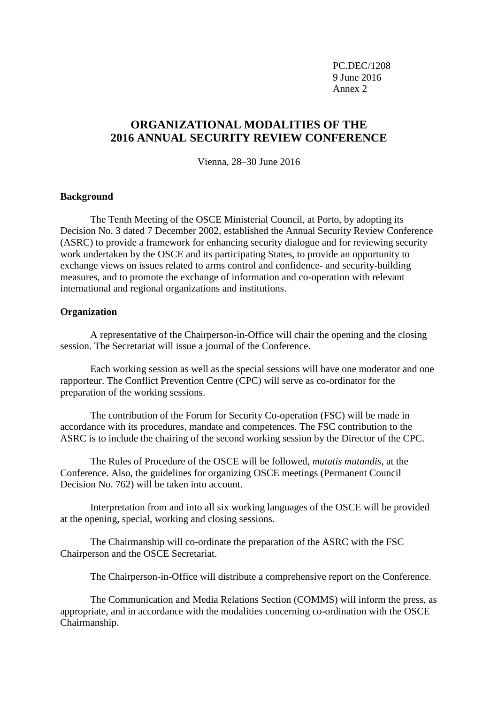PC.DEC/1208 9 June 2016 Annex 2

# **ORGANIZATIONAL MODALITIES OF THE 2016 ANNUAL SECURITY REVIEW CONFERENCE**

Vienna, 28–30 June 2016

### **Background**

The Tenth Meeting of the OSCE Ministerial Council, at Porto, by adopting its Decision No. 3 dated 7 December 2002, established the Annual Security Review Conference (ASRC) to provide a framework for enhancing security dialogue and for reviewing security work undertaken by the OSCE and its participating States, to provide an opportunity to exchange views on issues related to arms control and confidence- and security-building measures, and to promote the exchange of information and co-operation with relevant international and regional organizations and institutions.

#### **Organization**

A representative of the Chairperson-in-Office will chair the opening and the closing session. The Secretariat will issue a journal of the Conference.

Each working session as well as the special sessions will have one moderator and one rapporteur. The Conflict Prevention Centre (CPC) will serve as co-ordinator for the preparation of the working sessions.

The contribution of the Forum for Security Co-operation (FSC) will be made in accordance with its procedures, mandate and competences. The FSC contribution to the ASRC is to include the chairing of the second working session by the Director of the CPC.

The Rules of Procedure of the OSCE will be followed, *mutatis mutandis*, at the Conference. Also, the guidelines for organizing OSCE meetings (Permanent Council Decision No. 762) will be taken into account.

Interpretation from and into all six working languages of the OSCE will be provided at the opening, special, working and closing sessions.

The Chairmanship will co-ordinate the preparation of the ASRC with the FSC Chairperson and the OSCE Secretariat.

The Chairperson-in-Office will distribute a comprehensive report on the Conference.

The Communication and Media Relations Section (COMMS) will inform the press, as appropriate, and in accordance with the modalities concerning co-ordination with the OSCE Chairmanship.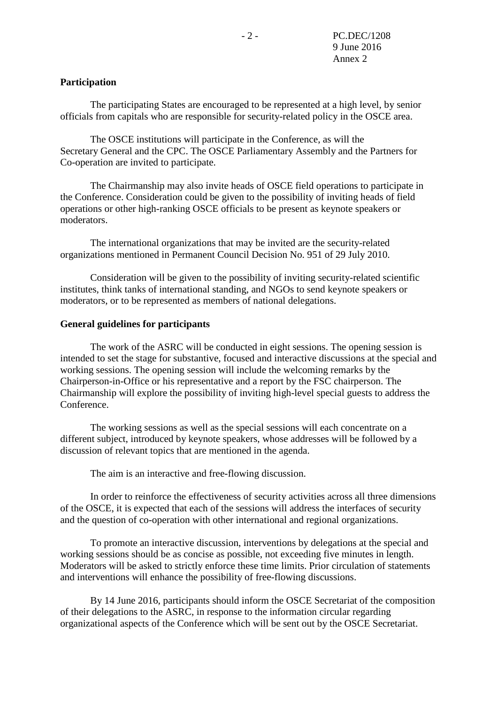### **Participation**

The participating States are encouraged to be represented at a high level, by senior officials from capitals who are responsible for security-related policy in the OSCE area.

The OSCE institutions will participate in the Conference, as will the Secretary General and the CPC. The OSCE Parliamentary Assembly and the Partners for Co-operation are invited to participate.

The Chairmanship may also invite heads of OSCE field operations to participate in the Conference. Consideration could be given to the possibility of inviting heads of field operations or other high-ranking OSCE officials to be present as keynote speakers or moderators.

The international organizations that may be invited are the security-related organizations mentioned in Permanent Council Decision No. 951 of 29 July 2010.

Consideration will be given to the possibility of inviting security-related scientific institutes, think tanks of international standing, and NGOs to send keynote speakers or moderators, or to be represented as members of national delegations.

### **General guidelines for participants**

The work of the ASRC will be conducted in eight sessions. The opening session is intended to set the stage for substantive, focused and interactive discussions at the special and working sessions. The opening session will include the welcoming remarks by the Chairperson-in-Office or his representative and a report by the FSC chairperson. The Chairmanship will explore the possibility of inviting high-level special guests to address the Conference.

The working sessions as well as the special sessions will each concentrate on a different subject, introduced by keynote speakers, whose addresses will be followed by a discussion of relevant topics that are mentioned in the agenda.

The aim is an interactive and free-flowing discussion.

In order to reinforce the effectiveness of security activities across all three dimensions of the OSCE, it is expected that each of the sessions will address the interfaces of security and the question of co-operation with other international and regional organizations.

To promote an interactive discussion, interventions by delegations at the special and working sessions should be as concise as possible, not exceeding five minutes in length. Moderators will be asked to strictly enforce these time limits. Prior circulation of statements and interventions will enhance the possibility of free-flowing discussions.

By 14 June 2016, participants should inform the OSCE Secretariat of the composition of their delegations to the ASRC, in response to the information circular regarding organizational aspects of the Conference which will be sent out by the OSCE Secretariat.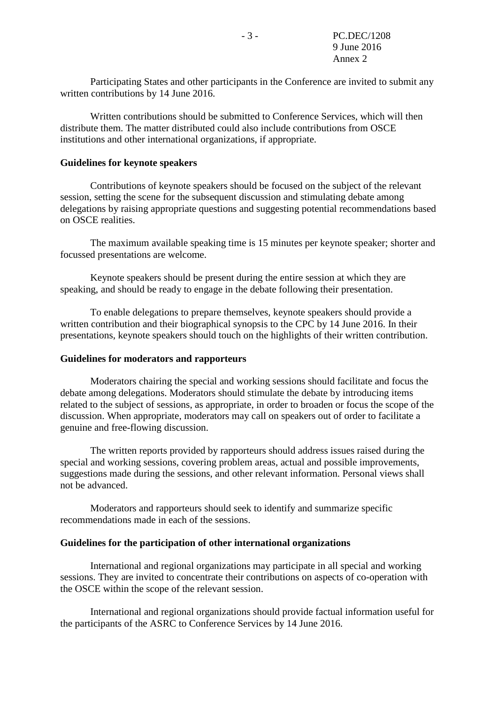Participating States and other participants in the Conference are invited to submit any written contributions by 14 June 2016.

Written contributions should be submitted to Conference Services, which will then distribute them. The matter distributed could also include contributions from OSCE institutions and other international organizations, if appropriate.

#### **Guidelines for keynote speakers**

Contributions of keynote speakers should be focused on the subject of the relevant session, setting the scene for the subsequent discussion and stimulating debate among delegations by raising appropriate questions and suggesting potential recommendations based on OSCE realities.

The maximum available speaking time is 15 minutes per keynote speaker; shorter and focussed presentations are welcome.

Keynote speakers should be present during the entire session at which they are speaking, and should be ready to engage in the debate following their presentation.

To enable delegations to prepare themselves, keynote speakers should provide a written contribution and their biographical synopsis to the CPC by 14 June 2016. In their presentations, keynote speakers should touch on the highlights of their written contribution.

#### **Guidelines for moderators and rapporteurs**

Moderators chairing the special and working sessions should facilitate and focus the debate among delegations. Moderators should stimulate the debate by introducing items related to the subject of sessions, as appropriate, in order to broaden or focus the scope of the discussion. When appropriate, moderators may call on speakers out of order to facilitate a genuine and free-flowing discussion.

The written reports provided by rapporteurs should address issues raised during the special and working sessions, covering problem areas, actual and possible improvements, suggestions made during the sessions, and other relevant information. Personal views shall not be advanced.

Moderators and rapporteurs should seek to identify and summarize specific recommendations made in each of the sessions.

#### **Guidelines for the participation of other international organizations**

International and regional organizations may participate in all special and working sessions. They are invited to concentrate their contributions on aspects of co-operation with the OSCE within the scope of the relevant session.

International and regional organizations should provide factual information useful for the participants of the ASRC to Conference Services by 14 June 2016.